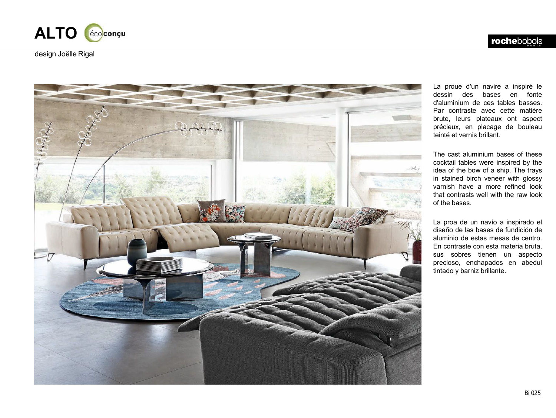



La proue d'un navire a inspiré le dessin des bases en fonte d'aluminium de ces tables basses . Par contraste avec cette matière brute, leurs plateaux ont aspect précieux, en placage de bouleau teinté et vernis brillant .

The cast aluminium bases of these cocktail tables were inspired by the idea of the bow of a ship . The trays in stained birch veneer with glossy varnish have a more refined look that contrasts well with the raw look of the bases .

La proa de un navío a inspirado el diseño de las bases de fundición de aluminio de estas mesas de centro . En contraste con esta materia bruta, sus sobres tienen un aspecto precioso, enchapados en abedul tintado y barniz brillante .